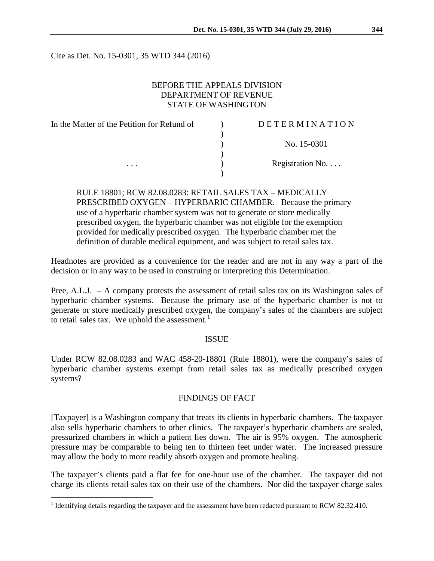Cite as Det. No. 15-0301, 35 WTD 344 (2016)

# BEFORE THE APPEALS DIVISION DEPARTMENT OF REVENUE STATE OF WASHINGTON

| In the Matter of the Petition for Refund of | DETERMINATION   |
|---------------------------------------------|-----------------|
|                                             |                 |
|                                             | No. 15-0301     |
|                                             |                 |
| $\cdots$                                    | Registration No |
|                                             |                 |

RULE 18801; RCW 82.08.0283: RETAIL SALES TAX – MEDICALLY PRESCRIBED OXYGEN – HYPERBARIC CHAMBER. Because the primary use of a hyperbaric chamber system was not to generate or store medically prescribed oxygen, the hyperbaric chamber was not eligible for the exemption provided for medically prescribed oxygen. The hyperbaric chamber met the definition of durable medical equipment, and was subject to retail sales tax.

Headnotes are provided as a convenience for the reader and are not in any way a part of the decision or in any way to be used in construing or interpreting this Determination.

Pree, A.L.J. – A company protests the assessment of retail sales tax on its Washington sales of hyperbaric chamber systems. Because the primary use of the hyperbaric chamber is not to generate or store medically prescribed oxygen, the company's sales of the chambers are subject to retail sales tax. We uphold the assessment. $<sup>1</sup>$  $<sup>1</sup>$  $<sup>1</sup>$ </sup>

### ISSUE

Under RCW 82.08.0283 and WAC 458-20-18801 (Rule 18801), were the company's sales of hyperbaric chamber systems exempt from retail sales tax as medically prescribed oxygen systems?

### FINDINGS OF FACT

[Taxpayer] is a Washington company that treats its clients in hyperbaric chambers. The taxpayer also sells hyperbaric chambers to other clinics. The taxpayer's hyperbaric chambers are sealed, pressurized chambers in which a patient lies down. The air is 95% oxygen. The atmospheric pressure may be comparable to being ten to thirteen feet under water. The increased pressure may allow the body to more readily absorb oxygen and promote healing.

The taxpayer's clients paid a flat fee for one-hour use of the chamber. The taxpayer did not charge its clients retail sales tax on their use of the chambers. Nor did the taxpayer charge sales

<span id="page-0-0"></span><sup>&</sup>lt;sup>1</sup> Identifying details regarding the taxpayer and the assessment have been redacted pursuant to RCW 82.32.410.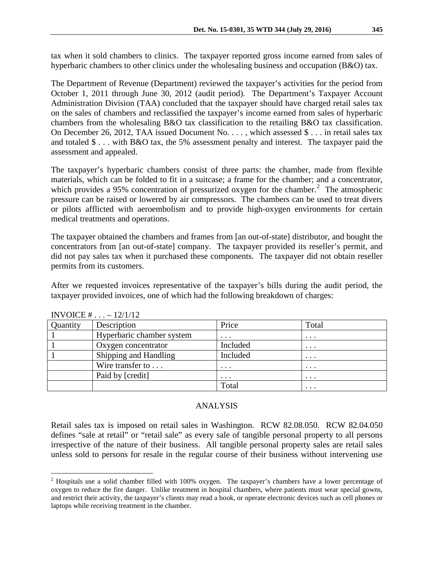tax when it sold chambers to clinics. The taxpayer reported gross income earned from sales of hyperbaric chambers to other clinics under the wholesaling business and occupation (B&O) tax.

The Department of Revenue (Department) reviewed the taxpayer's activities for the period from October 1, 2011 through June 30, 2012 (audit period). The Department's Taxpayer Account Administration Division (TAA) concluded that the taxpayer should have charged retail sales tax on the sales of chambers and reclassified the taxpayer's income earned from sales of hyperbaric chambers from the wholesaling B&O tax classification to the retailing B&O tax classification. On December 26, 2012, TAA issued Document No. . . . , which assessed \$ . . . in retail sales tax and totaled \$ . . . with B&O tax, the 5% assessment penalty and interest. The taxpayer paid the assessment and appealed.

The taxpayer's hyperbaric chambers consist of three parts: the chamber, made from flexible materials, which can be folded to fit in a suitcase; a frame for the chamber; and a concentrator, which provides a 95% concentration of pressurized oxygen for the chamber.<sup>[2](#page-1-0)</sup> The atmospheric pressure can be raised or lowered by air compressors. The chambers can be used to treat divers or pilots afflicted with aeroembolism and to provide high-oxygen environments for certain medical treatments and operations.

The taxpayer obtained the chambers and frames from [an out-of-state] distributor, and bought the concentrators from [an out-of-state] company. The taxpayer provided its reseller's permit, and did not pay sales tax when it purchased these components. The taxpayer did not obtain reseller permits from its customers.

After we requested invoices representative of the taxpayer's bills during the audit period, the taxpayer provided invoices, one of which had the following breakdown of charges:

| Quantity | Description               | Price    | Total    |
|----------|---------------------------|----------|----------|
|          | Hyperbaric chamber system | $\cdots$ | $\cdots$ |
|          | Oxygen concentrator       | Included | $\cdots$ |
|          | Shipping and Handling     | Included | $\cdots$ |
|          | Wire transfer to          | $\cdots$ | $\cdots$ |
|          | Paid by [credit]          | $\cdots$ | $\cdots$ |
|          |                           | Total    | $\cdots$ |

INVOICE # . . . – 12/1/12

### ANALYSIS

Retail sales tax is imposed on retail sales in Washington. RCW 82.08.050. RCW 82.04.050 defines "sale at retail" or "retail sale" as every sale of tangible personal property to all persons irrespective of the nature of their business. All tangible personal property sales are retail sales unless sold to persons for resale in the regular course of their business without intervening use

<span id="page-1-0"></span><sup>&</sup>lt;sup>2</sup> Hospitals use a solid chamber filled with 100% oxygen. The taxpayer's chambers have a lower percentage of oxygen to reduce the fire danger. Unlike treatment in hospital chambers, where patients must wear special gowns, and restrict their activity, the taxpayer's clients may read a book, or operate electronic devices such as cell phones or laptops while receiving treatment in the chamber.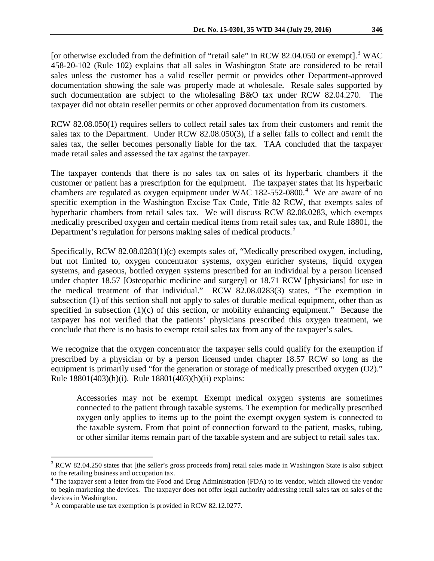[or otherwise excluded from the definition of "retail sale" in RCW 82.04.050 or exempt].<sup>[3](#page-2-0)</sup> WAC 458-20-102 (Rule 102) explains that all sales in Washington State are considered to be retail sales unless the customer has a valid reseller permit or provides other Department-approved documentation showing the sale was properly made at wholesale. Resale sales supported by such documentation are subject to the wholesaling B&O tax under RCW 82.04.270. The taxpayer did not obtain reseller permits or other approved documentation from its customers.

RCW 82.08.050(1) requires sellers to collect retail sales tax from their customers and remit the sales tax to the Department. Under RCW 82.08.050(3), if a seller fails to collect and remit the sales tax, the seller becomes personally liable for the tax. TAA concluded that the taxpayer made retail sales and assessed the tax against the taxpayer.

The taxpayer contends that there is no sales tax on sales of its hyperbaric chambers if the customer or patient has a prescription for the equipment. The taxpayer states that its hyperbaric chambers are regulated as oxygen equipment under WAC  $182-552-0800$ .<sup>[4](#page-2-1)</sup> We are aware of no specific exemption in the Washington Excise Tax Code, Title 82 RCW, that exempts sales of hyperbaric chambers from retail sales tax. We will discuss RCW 82.08.0283, which exempts medically prescribed oxygen and certain medical items from retail sales tax, and Rule 18801, the Department's regulation for persons making sales of medical products.<sup>[5](#page-2-2)</sup>

Specifically, RCW 82.08.0283(1)(c) exempts sales of, "Medically prescribed oxygen, including, but not limited to, oxygen concentrator systems, oxygen enricher systems, liquid oxygen systems, and gaseous, bottled oxygen systems prescribed for an individual by a person licensed under chapter 18.57 [Osteopathic medicine and surgery] or 18.71 RCW [physicians] for use in the medical treatment of that individual." RCW 82.08.0283(3) states, "The exemption in subsection (1) of this section shall not apply to sales of durable medical equipment, other than as specified in subsection (1)(c) of this section, or mobility enhancing equipment." Because the taxpayer has not verified that the patients' physicians prescribed this oxygen treatment, we conclude that there is no basis to exempt retail sales tax from any of the taxpayer's sales.

We recognize that the oxygen concentrator the taxpayer sells could qualify for the exemption if prescribed by a physician or by a person licensed under chapter 18.57 RCW so long as the equipment is primarily used "for the generation or storage of medically prescribed oxygen (O2)." Rule 18801(403)(h)(i). Rule 18801(403)(h)(ii) explains:

Accessories may not be exempt. Exempt medical oxygen systems are sometimes connected to the patient through taxable systems. The exemption for medically prescribed oxygen only applies to items up to the point the exempt oxygen system is connected to the taxable system. From that point of connection forward to the patient, masks, tubing, or other similar items remain part of the taxable system and are subject to retail sales tax.

<span id="page-2-0"></span><sup>&</sup>lt;sup>3</sup> RCW 82.04.250 states that [the seller's gross proceeds from] retail sales made in Washington State is also subject to the retailing business and occupation tax.

<span id="page-2-1"></span><sup>&</sup>lt;sup>4</sup> The taxpayer sent a letter from the Food and Drug Administration (FDA) to its vendor, which allowed the vendor to begin marketing the devices. The taxpayer does not offer legal authority addressing retail sales tax on sales of the devices in Washington.

<span id="page-2-2"></span><sup>&</sup>lt;sup>5</sup> A comparable use tax exemption is provided in RCW 82.12.0277.